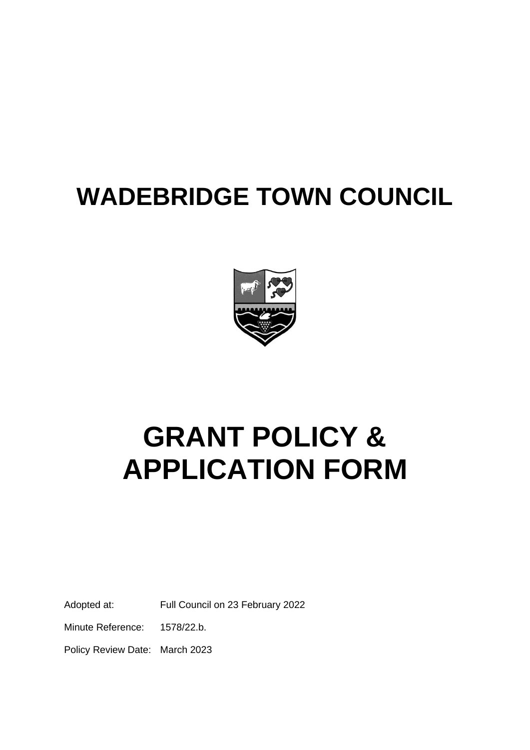# **WADEBRIDGE TOWN COUNCIL**



# **GRANT POLICY & APPLICATION FORM**

Adopted at: Full Council on 23 February 2022

Minute Reference: 1578/22.b.

Policy Review Date: March 2023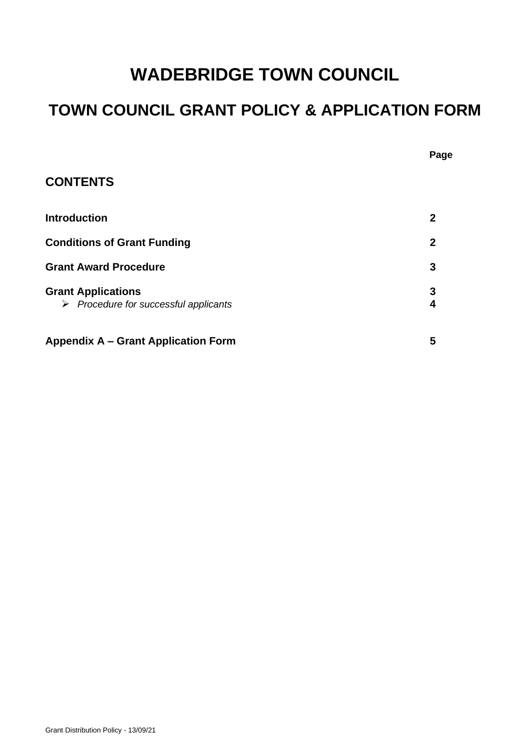# **WADEBRIDGE TOWN COUNCIL**

# **TOWN COUNCIL GRANT POLICY & APPLICATION FORM**

**Page**

| <b>CONTENTS</b>                                                                   |             |
|-----------------------------------------------------------------------------------|-------------|
| <b>Introduction</b>                                                               | 2           |
| <b>Conditions of Grant Funding</b>                                                | $\mathbf 2$ |
| <b>Grant Award Procedure</b>                                                      | 3           |
| <b>Grant Applications</b><br>$\triangleright$ Procedure for successful applicants | 3<br>4      |
| <b>Appendix A – Grant Application Form</b>                                        | 5           |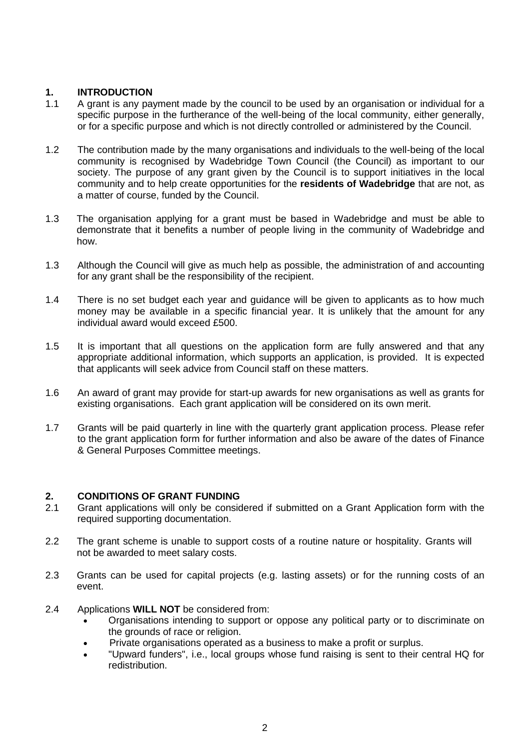# **1. INTRODUCTION**

- A grant is any payment made by the council to be used by an organisation or individual for a specific purpose in the furtherance of the well-being of the local community, either generally, or for a specific purpose and which is not directly controlled or administered by the Council.
- 1.2 The contribution made by the many organisations and individuals to the well-being of the local community is recognised by Wadebridge Town Council (the Council) as important to our society. The purpose of any grant given by the Council is to support initiatives in the local community and to help create opportunities for the **residents of Wadebridge** that are not, as a matter of course, funded by the Council.
- 1.3 The organisation applying for a grant must be based in Wadebridge and must be able to demonstrate that it benefits a number of people living in the community of Wadebridge and how.
- 1.3 Although the Council will give as much help as possible, the administration of and accounting for any grant shall be the responsibility of the recipient.
- 1.4 There is no set budget each year and guidance will be given to applicants as to how much money may be available in a specific financial year. It is unlikely that the amount for any individual award would exceed £500.
- 1.5 It is important that all questions on the application form are fully answered and that any appropriate additional information, which supports an application, is provided. It is expected that applicants will seek advice from Council staff on these matters.
- 1.6 An award of grant may provide for start-up awards for new organisations as well as grants for existing organisations. Each grant application will be considered on its own merit.
- 1.7 Grants will be paid quarterly in line with the quarterly grant application process. Please refer to the grant application form for further information and also be aware of the dates of Finance & General Purposes Committee meetings.

### **2. CONDITIONS OF GRANT FUNDING**

- 2.1 Grant applications will only be considered if submitted on a Grant Application form with the required supporting documentation.
- 2.2 The grant scheme is unable to support costs of a routine nature or hospitality. Grants will not be awarded to meet salary costs.
- 2.3 Grants can be used for capital projects (e.g. lasting assets) or for the running costs of an event.
- 2.4 Applications **WILL NOT** be considered from:
	- Organisations intending to support or oppose any political party or to discriminate on the grounds of race or religion.
	- Private organisations operated as a business to make a profit or surplus.
	- "Upward funders", i.e., local groups whose fund raising is sent to their central HQ for redistribution.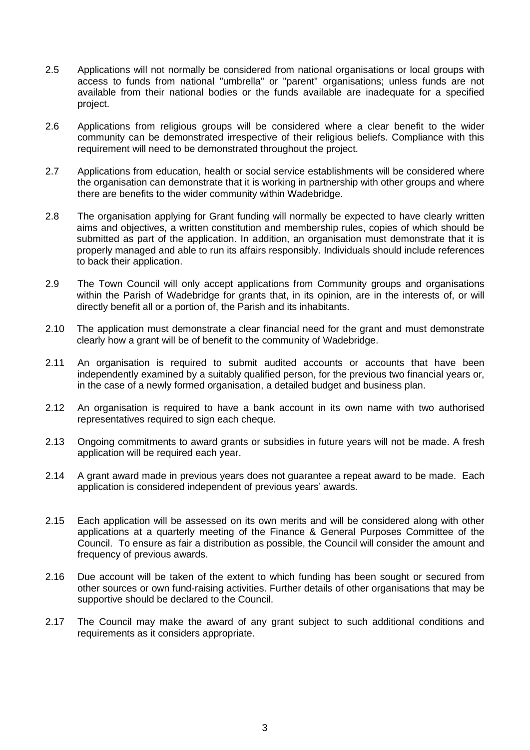- 2.5 Applications will not normally be considered from national organisations or local groups with access to funds from national "umbrella" or "parent" organisations; unless funds are not available from their national bodies or the funds available are inadequate for a specified project.
- 2.6 Applications from religious groups will be considered where a clear benefit to the wider community can be demonstrated irrespective of their religious beliefs. Compliance with this requirement will need to be demonstrated throughout the project.
- 2.7 Applications from education, health or social service establishments will be considered where the organisation can demonstrate that it is working in partnership with other groups and where there are benefits to the wider community within Wadebridge.
- 2.8 The organisation applying for Grant funding will normally be expected to have clearly written aims and objectives, a written constitution and membership rules, copies of which should be submitted as part of the application. In addition, an organisation must demonstrate that it is properly managed and able to run its affairs responsibly. Individuals should include references to back their application.
- 2.9 The Town Council will only accept applications from Community groups and organisations within the Parish of Wadebridge for grants that, in its opinion, are in the interests of, or will directly benefit all or a portion of, the Parish and its inhabitants.
- 2.10 The application must demonstrate a clear financial need for the grant and must demonstrate clearly how a grant will be of benefit to the community of Wadebridge.
- 2.11 An organisation is required to submit audited accounts or accounts that have been independently examined by a suitably qualified person, for the previous two financial years or, in the case of a newly formed organisation, a detailed budget and business plan.
- 2.12 An organisation is required to have a bank account in its own name with two authorised representatives required to sign each cheque.
- 2.13 Ongoing commitments to award grants or subsidies in future years will not be made. A fresh application will be required each year.
- 2.14 A grant award made in previous years does not guarantee a repeat award to be made. Each application is considered independent of previous years' awards.
- 2.15 Each application will be assessed on its own merits and will be considered along with other applications at a quarterly meeting of the Finance & General Purposes Committee of the Council. To ensure as fair a distribution as possible, the Council will consider the amount and frequency of previous awards.
- 2.16 Due account will be taken of the extent to which funding has been sought or secured from other sources or own fund-raising activities. Further details of other organisations that may be supportive should be declared to the Council.
- 2.17 The Council may make the award of any grant subject to such additional conditions and requirements as it considers appropriate.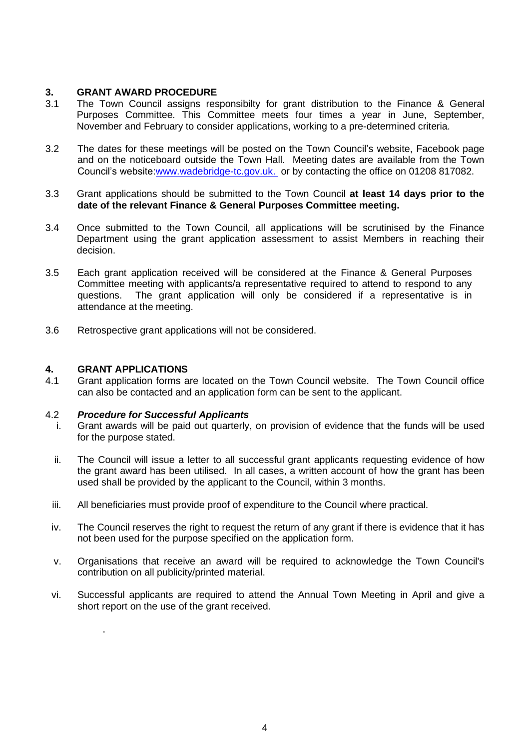# **3. GRANT AWARD PROCEDURE**

- The Town Council assigns responsibilty for grant distribution to the Finance & General Purposes Committee. This Committee meets four times a year in June, September, November and February to consider applications, working to a pre-determined criteria.
- 3.2 The dates for these meetings will be posted on the Town Council's website, Facebook page and on the noticeboard outside the Town Hall. Meeting dates are available from the Town Council's website[:www.wadebridge-tc.gov.uk.](../../../../../Agendas%20-%20F%20&%20GP/2016-17/www.wadebridge-tc.gov.uk) or by contacting the office on 01208 817082.
- 3.3 Grant applications should be submitted to the Town Council **at least 14 days prior to the date of the relevant Finance & General Purposes Committee meeting.**
- 3.4 Once submitted to the Town Council, all applications will be scrutinised by the Finance Department using the grant application assessment to assist Members in reaching their decision.
- 3.5 Each grant application received will be considered at the Finance & General Purposes Committee meeting with applicants/a representative required to attend to respond to any questions. The grant application will only be considered if a representative is in attendance at the meeting.
- 3.6 Retrospective grant applications will not be considered.

#### **4. GRANT APPLICATIONS**

.

4.1 Grant application forms are located on the Town Council website. The Town Council office can also be contacted and an application form can be sent to the applicant.

#### 4.2 *Procedure for Successful Applicants*

- i. Grant awards will be paid out quarterly, on provision of evidence that the funds will be used for the purpose stated.
- ii. The Council will issue a letter to all successful grant applicants requesting evidence of how the grant award has been utilised. In all cases, a written account of how the grant has been used shall be provided by the applicant to the Council, within 3 months.
- iii. All beneficiaries must provide proof of expenditure to the Council where practical.
- iv. The Council reserves the right to request the return of any grant if there is evidence that it has not been used for the purpose specified on the application form.
- v. Organisations that receive an award will be required to acknowledge the Town Council's contribution on all publicity/printed material.
- vi. Successful applicants are required to attend the Annual Town Meeting in April and give a short report on the use of the grant received.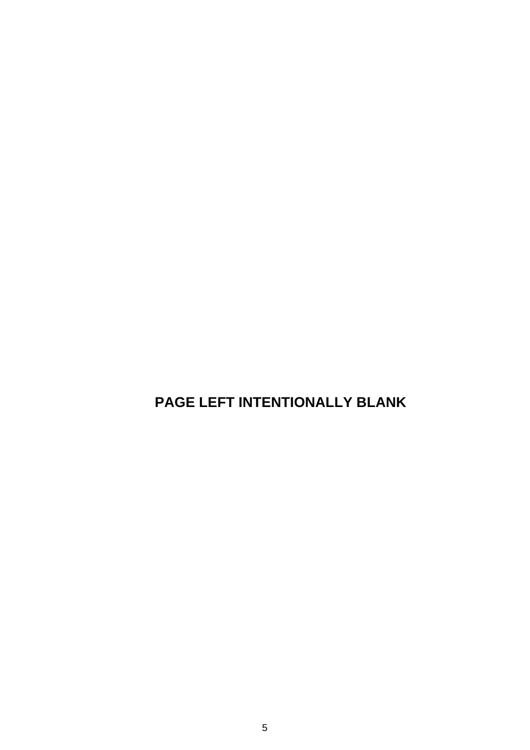**PAGE LEFT INTENTIONALLY BLANK**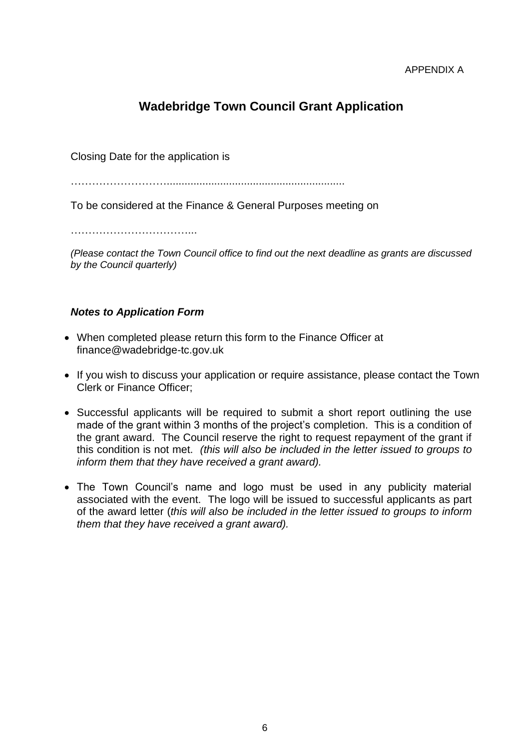# **Wadebridge Town Council Grant Application**

Closing Date for the application is

……………………………………………………………………………………

To be considered at the Finance & General Purposes meeting on

……………………………...

*(Please contact the Town Council office to find out the next deadline as grants are discussed by the Council quarterly)*

## *Notes to Application Form*

- When completed please return this form to the Finance Officer at finance@wadebridge-tc.gov.uk
- If you wish to discuss your application or require assistance, please contact the Town Clerk or Finance Officer;
- Successful applicants will be required to submit a short report outlining the use made of the grant within 3 months of the project's completion. This is a condition of the grant award. The Council reserve the right to request repayment of the grant if this condition is not met. *(this will also be included in the letter issued to groups to inform them that they have received a grant award).*
- The Town Council's name and logo must be used in any publicity material associated with the event. The logo will be issued to successful applicants as part of the award letter (*this will also be included in the letter issued to groups to inform them that they have received a grant award).*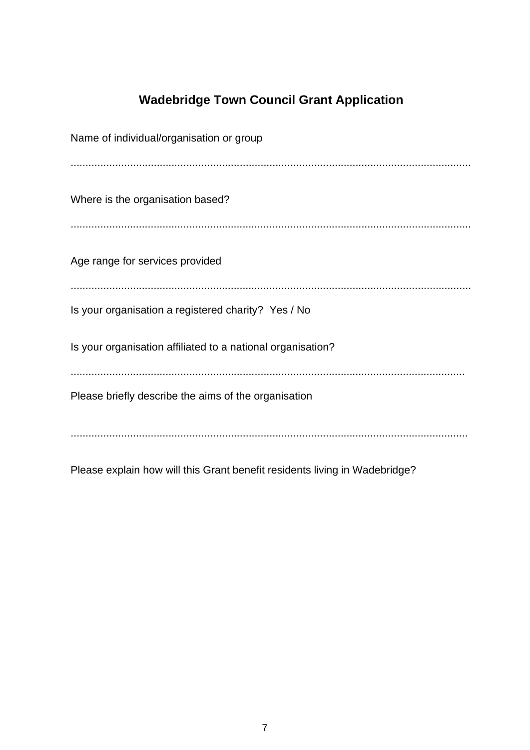# **Wadebridge Town Council Grant Application**

| Name of individual/organisation or group                    |
|-------------------------------------------------------------|
| Where is the organisation based?                            |
| Age range for services provided                             |
| Is your organisation a registered charity? Yes / No         |
| Is your organisation affiliated to a national organisation? |
| Please briefly describe the aims of the organisation        |
|                                                             |

Please explain how will this Grant benefit residents living in Wadebridge?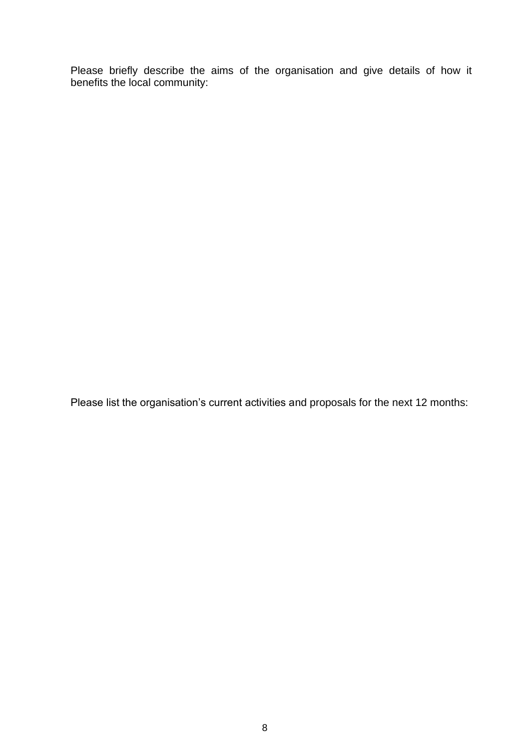Please briefly describe the aims of the organisation and give details of how it benefits the local community:

Please list the organisation's current activities and proposals for the next 12 months: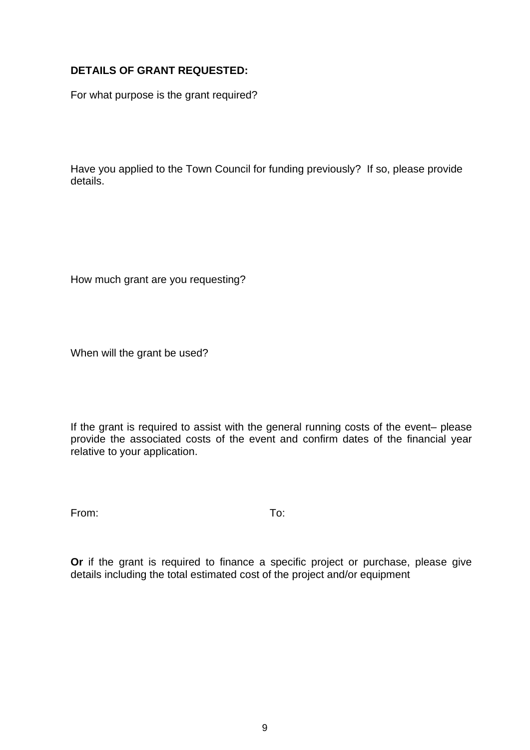# **DETAILS OF GRANT REQUESTED:**

For what purpose is the grant required?

Have you applied to the Town Council for funding previously? If so, please provide details.

How much grant are you requesting?

When will the grant be used?

If the grant is required to assist with the general running costs of the event– please provide the associated costs of the event and confirm dates of the financial year relative to your application.

From: To:

**Or** if the grant is required to finance a specific project or purchase, please give details including the total estimated cost of the project and/or equipment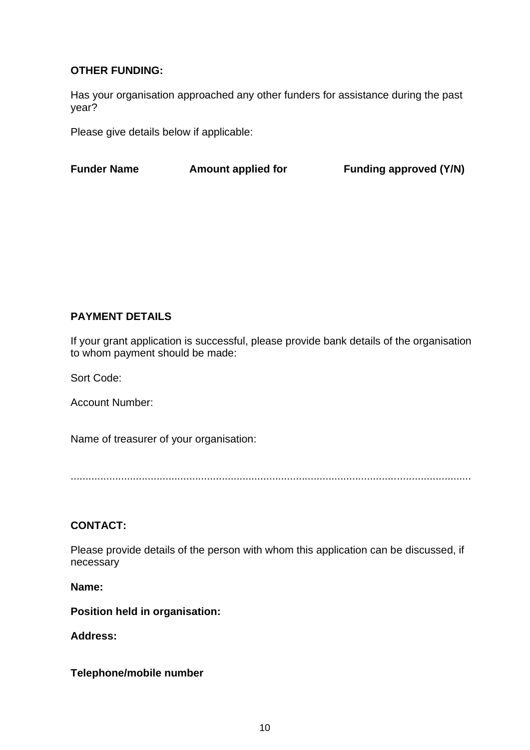## **OTHER FUNDING:**

Has your organisation approached any other funders for assistance during the past year?

Please give details below if applicable:

Funder Name **Amount applied for** Funding approved (Y/N)

# **PAYMENT DETAILS**

If your grant application is successful, please provide bank details of the organisation to whom payment should be made:

Sort Code:

Account Number:

Name of treasurer of your organisation:

.......................................................................................................................................

# **CONTACT:**

Please provide details of the person with whom this application can be discussed, if necessary

**Name:**

**Position held in organisation:**

**Address:**

**Telephone/mobile number**